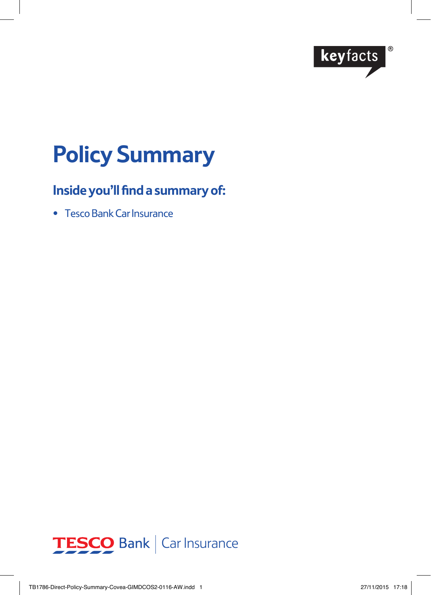

# **Policy Summary**

## **Inside you'll find a summary of:**

• Tesco Bank Car Insurance

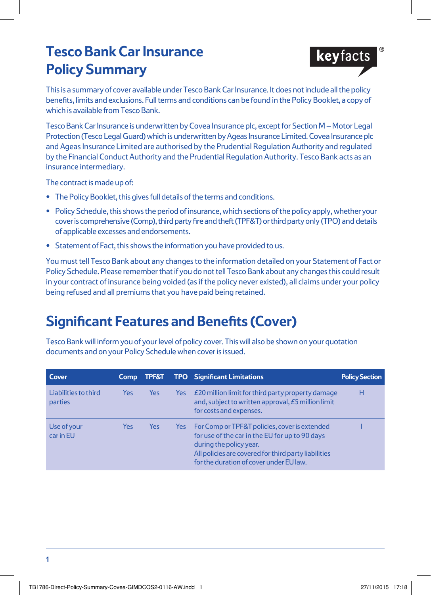# **Tesco Bank Car Insurance Policy Summary**



This is a summary of cover available under Tesco Bank Car Insurance. It does not include all the policy benefits, limits and exclusions. Full terms and conditions can be found in the Policy Booklet, a copy of which is available from Tesco Bank.

Tesco Bank Car Insurance is underwritten by Covea Insurance plc, except for Section M – Motor Legal Protection (Tesco Legal Guard) which is underwritten by Ageas Insurance Limited. Covea Insurance plc and Ageas Insurance Limited are authorised by the Prudential Regulation Authority and regulated by the Financial Conduct Authority and the Prudential Regulation Authority. Tesco Bank acts as an insurance intermediary.

The contract is made up of:

- **•** The Policy Booklet, this gives full details of the terms and conditions.
- **•** Policy Schedule, this shows the period of insurance, which sections of the policy apply, whether your cover is comprehensive (Comp), third party fire and theft (TPF&T) or third party only (TPO) and details of applicable excesses and endorsements.
- **•** Statement of Fact, this shows the information you have provided to us.

You must tell Tesco Bank about any changes to the information detailed on your Statement of Fact or Policy Schedule. Please remember that if you do not tell Tesco Bank about any changes this could result in your contract of insurance being voided (as if the policy never existed), all claims under your policy being refused and all premiums that you have paid being retained.

# **Significant Features and Benefits (Cover)**

Tesco Bank will inform you of your level of policy cover. This will also be shown on your quotation documents and on your Policy Schedule when cover is issued.

| Cover                                  | <b>Comp</b> | <b>TPF&amp;T</b> |            | <b>TPO</b> Significant Limitations                                                                                                                                                                                            | <b>Policy Section</b> |
|----------------------------------------|-------------|------------------|------------|-------------------------------------------------------------------------------------------------------------------------------------------------------------------------------------------------------------------------------|-----------------------|
| Liabilities to third<br><b>parties</b> | Yes         | <b>Yes</b>       | <b>Yes</b> | £20 million limit for third party property damage<br>and, subject to written approval, £5 million limit<br>for costs and expenses.                                                                                            | н                     |
| Use of your<br>car in EU               | Yes         | Yes              | Yes        | For Comp or TPF&T policies, cover is extended<br>for use of the car in the EU for up to 90 days<br>during the policy year.<br>All policies are covered for third party liabilities<br>for the duration of cover under EU law. |                       |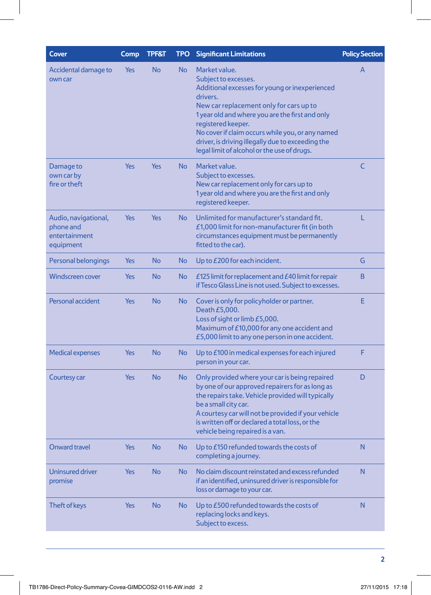| <b>Cover</b>                                                    | Comp       | <b>TPF&amp;T</b> | <b>TPO</b> | <b>Significant Limitations</b>                                                                                                                                                                                                                                                                                                                                                  | <b>Policy Section</b> |
|-----------------------------------------------------------------|------------|------------------|------------|---------------------------------------------------------------------------------------------------------------------------------------------------------------------------------------------------------------------------------------------------------------------------------------------------------------------------------------------------------------------------------|-----------------------|
| Accidental damage to<br>own car                                 | <b>Yes</b> | <b>No</b>        | <b>No</b>  | Market value.<br>Subject to excesses.<br>Additional excesses for young or inexperienced<br>drivers.<br>New car replacement only for cars up to<br>1 year old and where you are the first and only<br>registered keeper.<br>No cover if claim occurs while you, or any named<br>driver, is driving illegally due to exceeding the<br>legal limit of alcohol or the use of drugs. | A                     |
| Damage to<br>own car by<br>fire or theft                        | <b>Yes</b> | <b>Yes</b>       | <b>No</b>  | Market value.<br>Subject to excesses.<br>New car replacement only for cars up to<br>1 year old and where you are the first and only<br>registered keeper.                                                                                                                                                                                                                       | C                     |
| Audio, navigational,<br>phone and<br>entertainment<br>equipment | <b>Yes</b> | Yes              | <b>No</b>  | Unlimited for manufacturer's standard fit.<br>£1,000 limit for non-manufacturer fit (in both<br>circumstances equipment must be permanently<br>fitted to the car).                                                                                                                                                                                                              | L                     |
| Personal belongings                                             | <b>Yes</b> | <b>No</b>        | <b>No</b>  | Up to £200 for each incident.                                                                                                                                                                                                                                                                                                                                                   | G                     |
| <b>Windscreen cover</b>                                         | <b>Yes</b> | <b>No</b>        | <b>No</b>  | £125 limit for replacement and £40 limit for repair<br>if Tesco Glass Line is not used. Subject to excesses.                                                                                                                                                                                                                                                                    | <sub>B</sub>          |
| Personal accident                                               | <b>Yes</b> | <b>No</b>        | <b>No</b>  | Cover is only for policyholder or partner.<br>Death £5,000.<br>Loss of sight or limb £5,000.<br>Maximum of £10,000 for any one accident and<br>£5,000 limit to any one person in one accident.                                                                                                                                                                                  | E                     |
| <b>Medical expenses</b>                                         | <b>Yes</b> | <b>No</b>        | <b>No</b>  | Up to £100 in medical expenses for each injured<br>person in your car.                                                                                                                                                                                                                                                                                                          | F                     |
| Courtesy car                                                    | Yes        | <b>No</b>        | <b>No</b>  | Only provided where your car is being repaired<br>by one of our approved repairers for as long as<br>the repairs take. Vehicle provided will typically<br>be a small city car.<br>A courtesy car will not be provided if your vehicle<br>is written off or declared a total loss, or the<br>vehicle being repaired is a van.                                                    | D                     |
| <b>Onward travel</b>                                            | <b>Yes</b> | <b>No</b>        | <b>No</b>  | Up to £150 refunded towards the costs of<br>completing a journey.                                                                                                                                                                                                                                                                                                               | N                     |
| <b>Uninsured driver</b><br>promise                              | <b>Yes</b> | <b>No</b>        | <b>No</b>  | No claim discount reinstated and excess refunded<br>if an identified, uninsured driver is responsible for<br>loss or damage to your car.                                                                                                                                                                                                                                        | N                     |
| Theft of keys                                                   | <b>Yes</b> | <b>No</b>        | <b>No</b>  | Up to £500 refunded towards the costs of<br>replacing locks and keys.<br>Subject to excess.                                                                                                                                                                                                                                                                                     | N                     |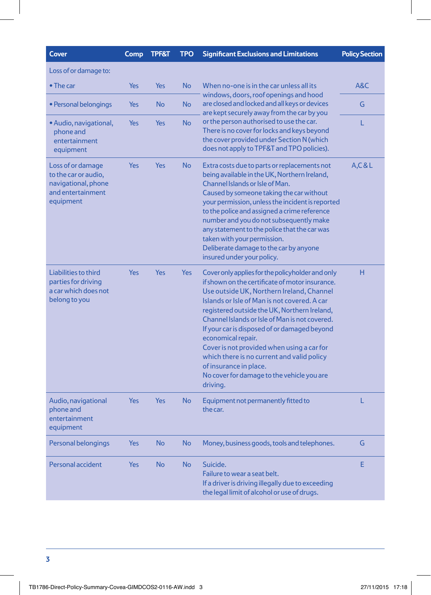| <b>Cover</b>                                                                                       | Comp       | <b>TPF&amp;T</b>                                                                                                                                                                                                                | <b>TPO</b> | <b>Significant Exclusions and Limitations</b>                                                                                                                                                                                                                                                                                                                                                                                                                                                                                                            | <b>Policy Section</b> |
|----------------------------------------------------------------------------------------------------|------------|---------------------------------------------------------------------------------------------------------------------------------------------------------------------------------------------------------------------------------|------------|----------------------------------------------------------------------------------------------------------------------------------------------------------------------------------------------------------------------------------------------------------------------------------------------------------------------------------------------------------------------------------------------------------------------------------------------------------------------------------------------------------------------------------------------------------|-----------------------|
| Loss of or damage to:                                                                              |            |                                                                                                                                                                                                                                 |            |                                                                                                                                                                                                                                                                                                                                                                                                                                                                                                                                                          |                       |
| $\bullet$ The car                                                                                  | Yes        | <b>No</b><br>When no-one is in the car unless all its<br>Yes<br>windows, doors, roof openings and hood<br>are closed and locked and all keys or devices<br><b>No</b><br><b>No</b><br>are kept securely away from the car by you | A&C        |                                                                                                                                                                                                                                                                                                                                                                                                                                                                                                                                                          |                       |
| • Personal belongings                                                                              | Yes        |                                                                                                                                                                                                                                 | G          |                                                                                                                                                                                                                                                                                                                                                                                                                                                                                                                                                          |                       |
| • Audio, navigational,<br>phone and<br>entertainment<br>equipment                                  | <b>Yes</b> | <b>Yes</b>                                                                                                                                                                                                                      | <b>No</b>  | or the person authorised to use the car.<br>There is no cover for locks and keys beyond<br>the cover provided under Section N (which<br>does not apply to TPF&T and TPO policies).                                                                                                                                                                                                                                                                                                                                                                       | L                     |
| Loss of or damage<br>to the car or audio,<br>navigational, phone<br>and entertainment<br>equipment | Yes        | Yes                                                                                                                                                                                                                             | <b>No</b>  | Extra costs due to parts or replacements not<br>being available in the UK, Northern Ireland,<br>Channel Islands or Isle of Man.<br>Caused by someone taking the car without<br>your permission, unless the incident is reported<br>to the police and assigned a crime reference<br>number and you do not subsequently make<br>any statement to the police that the car was<br>taken with your permission.<br>Deliberate damage to the car by anyone<br>insured under your policy.                                                                        | A, C & L              |
| Liabilities to third<br>parties for driving<br>a car which does not<br>belong to you               | <b>Yes</b> | <b>Yes</b>                                                                                                                                                                                                                      | <b>Yes</b> | Cover only applies for the policyholder and only<br>if shown on the certificate of motor insurance.<br>Use outside UK, Northern Ireland, Channel<br>Islands or Isle of Man is not covered. A car<br>registered outside the UK, Northern Ireland,<br>Channel Islands or Isle of Man is not covered.<br>If your car is disposed of or damaged beyond<br>economical repair.<br>Cover is not provided when using a car for<br>which there is no current and valid policy<br>of insurance in place.<br>No cover for damage to the vehicle you are<br>driving. | H                     |
| Audio, navigational<br>phone and<br>entertainment<br>equipment                                     | Yes        | Yes                                                                                                                                                                                                                             | <b>No</b>  | Equipment not permanently fitted to<br>the car.                                                                                                                                                                                                                                                                                                                                                                                                                                                                                                          | L                     |
| Personal belongings                                                                                | Yes        | <b>No</b>                                                                                                                                                                                                                       | <b>No</b>  | Money, business goods, tools and telephones.                                                                                                                                                                                                                                                                                                                                                                                                                                                                                                             | G                     |
| Personal accident                                                                                  | Yes        | <b>No</b>                                                                                                                                                                                                                       | <b>No</b>  | Suicide.<br>Failure to wear a seat belt.<br>If a driver is driving illegally due to exceeding<br>the legal limit of alcohol or use of drugs.                                                                                                                                                                                                                                                                                                                                                                                                             | E                     |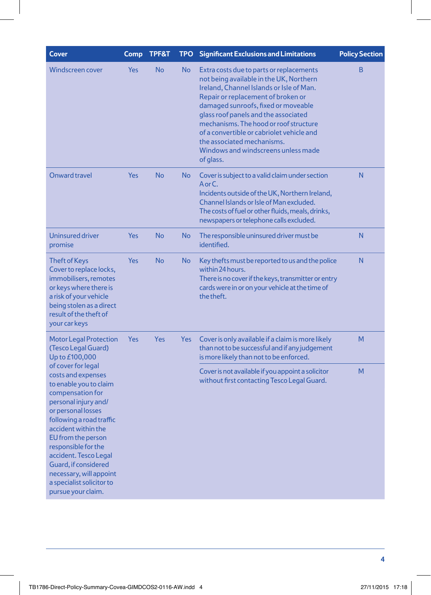| Comp       | <b>TPF&amp;T</b> | <b>TPO</b> | <b>Significant Exclusions and Limitations</b>                                                                                                                                                                                                                                                                                                                                                                                 | <b>Policy Section</b>                                                                                   |
|------------|------------------|------------|-------------------------------------------------------------------------------------------------------------------------------------------------------------------------------------------------------------------------------------------------------------------------------------------------------------------------------------------------------------------------------------------------------------------------------|---------------------------------------------------------------------------------------------------------|
| <b>Yes</b> | No               | <b>No</b>  | Extra costs due to parts or replacements<br>not being available in the UK, Northern<br>Ireland, Channel Islands or Isle of Man.<br>Repair or replacement of broken or<br>damaged sunroofs, fixed or moveable<br>glass roof panels and the associated<br>mechanisms. The hood or roof structure<br>of a convertible or cabriolet vehicle and<br>the associated mechanisms.<br>Windows and windscreens unless made<br>of glass. | B                                                                                                       |
| <b>Yes</b> | <b>No</b>        | No.        | Cover is subject to a valid claim under section<br>A or C.<br>Incidents outside of the UK, Northern Ireland,<br>Channel Islands or Isle of Man excluded.<br>The costs of fuel or other fluids, meals, drinks,<br>newspapers or telephone calls excluded.                                                                                                                                                                      | N                                                                                                       |
| <b>Yes</b> | <b>No</b>        | <b>No</b>  | The responsible uninsured driver must be<br>identified.                                                                                                                                                                                                                                                                                                                                                                       | N                                                                                                       |
| Yes        | <b>No</b>        | <b>No</b>  | within 24 hours.<br>cards were in or on your vehicle at the time of<br>the theft.                                                                                                                                                                                                                                                                                                                                             | N                                                                                                       |
| <b>Yes</b> | Yes              | <b>Yes</b> | Cover is only available if a claim is more likely<br>than not to be successful and if any judgement<br>is more likely than not to be enforced.                                                                                                                                                                                                                                                                                | M                                                                                                       |
|            |                  |            | Cover is not available if you appoint a solicitor<br>without first contacting Tesco Legal Guard.                                                                                                                                                                                                                                                                                                                              | M                                                                                                       |
|            |                  |            |                                                                                                                                                                                                                                                                                                                                                                                                                               | Key thefts must be reported to us and the police<br>There is no cover if the keys, transmitter or entry |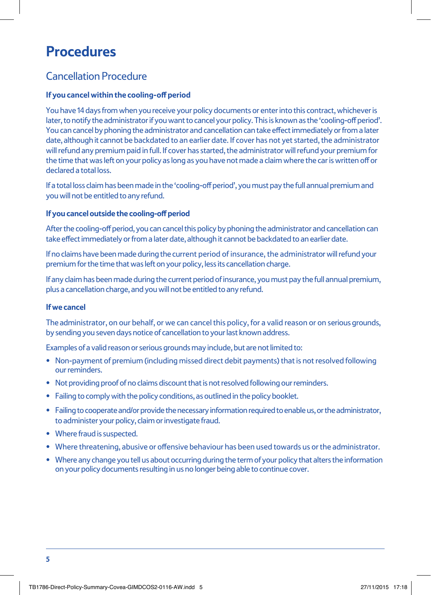# **Procedures**

### Cancellation Procedure

#### **If you cancel within the cooling-off period**

You have 14 days from when you receive your policy documents or enter into this contract, whichever is later, to notify the administrator if you want to cancel your policy. This is known as the 'cooling-off period'. You can cancel by phoning the administrator and cancellation can take effect immediately or from a later date, although it cannot be backdated to an earlier date. If cover has not yet started, the administrator will refund any premium paid in full. If cover has started, the administrator will refund your premium for the time that was left on your policy as long as you have not made a claim where the car is written off or declared a total loss.

If a total loss claim has been made in the 'cooling-off period', you must pay the full annual premium and you will not be entitled to any refund.

#### **If you cancel outside the cooling-off period**

After the cooling-off period, you can cancel this policy by phoning the administrator and cancellation can take effect immediately or from a later date, although it cannot be backdated to an earlier date.

If no claims have been made during the current period of insurance, the administrator will refund your premium for the time that was left on your policy, less its cancellation charge.

If any claim has been made during the current period of insurance, you must pay the full annual premium, plus a cancellation charge, and you will not be entitled to any refund.

#### **If we cancel**

The administrator, on our behalf, or we can cancel this policy, for a valid reason or on serious grounds, by sending you seven days notice of cancellation to your last known address.

Examples of a valid reason or serious grounds may include, but are not limited to:

- Non-payment of premium (including missed direct debit payments) that is not resolved following our reminders.
- Not providing proof of no claims discount that is not resolved following our reminders.
- Failing to comply with the policy conditions, as outlined in the policy booklet.
- Failing to cooperate and/or provide the necessary information required to enable us, or the administrator, to administer your policy, claim or investigate fraud.
- Where fraud is suspected.
- Where threatening, abusive or offensive behaviour has been used towards us or the administrator.
- Where any change you tell us about occurring during the term of your policy that alters the information on your policy documents resulting in us no longer being able to continue cover.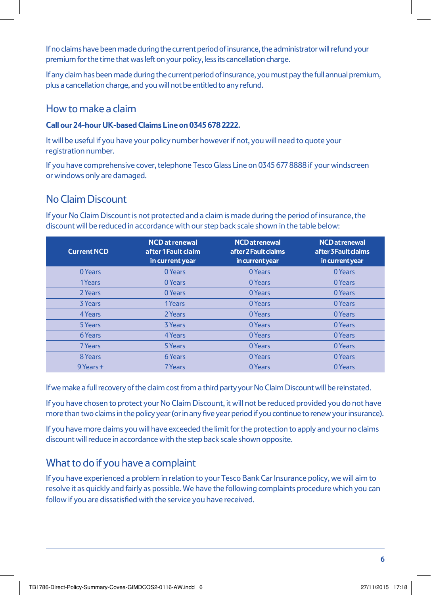If no claims have been made during the current period of insurance, the administrator will refund your premium for the time that was left on your policy, less its cancellation charge.

If any claim has been made during the current period of insurance, you must pay the full annual premium, plus a cancellation charge, and you will not be entitled to any refund.

### How to make a claim

#### **Call our 24-hour UK-based Claims Line on 0345 678 2222.**

It will be useful if you have your policy number however if not, you will need to quote your registration number.

If you have comprehensive cover, telephone Tesco Glass Line on 0345 677 8888 if your windscreen or windows only are damaged.

### No Claim Discount

If your No Claim Discount is not protected and a claim is made during the period of insurance, the discount will be reduced in accordance with our step back scale shown in the table below:

| <b>Current NCD</b> | <b>NCD</b> at renewal<br>after 1 Fault claim<br>in current year | <b>NCD</b> at renewal<br>after 2 Fault claims<br>in current year | <b>NCD</b> at renewal<br>after 3 Fault claims<br>in current year |
|--------------------|-----------------------------------------------------------------|------------------------------------------------------------------|------------------------------------------------------------------|
| 0 Years            | 0 Years                                                         | 0 Years                                                          | 0 Years                                                          |
| 1Years             | 0 Years                                                         | 0 Years                                                          | 0 Years                                                          |
| 2 Years            | 0 Years                                                         | 0 Years                                                          | 0 Years                                                          |
| <b>3 Years</b>     | 1Years                                                          | 0 Years                                                          | 0 Years                                                          |
| 4 Years            | 2 Years                                                         | 0 Years                                                          | 0 Years                                                          |
| 5 Years            | 3 Years                                                         | 0 Years                                                          | 0 Years                                                          |
| 6 Years            | 4 Years                                                         | 0 Years                                                          | 0 Years                                                          |
| 7 Years            | 5 Years                                                         | 0 Years                                                          | 0 Years                                                          |
| 8 Years            | 6 Years                                                         | 0 Years                                                          | 0 Years                                                          |
| 9 Years +          | 7 Years                                                         | 0 Years                                                          | 0 Years                                                          |

If we make a full recovery of the claim cost from a third party your No Claim Discount will be reinstated.

If you have chosen to protect your No Claim Discount, it will not be reduced provided you do not have more than two claims in the policy year (or in any five year period if you continue to renew your insurance).

If you have more claims you will have exceeded the limit for the protection to apply and your no claims discount will reduce in accordance with the step back scale shown opposite.

### What to do if you have a complaint

If you have experienced a problem in relation to your Tesco Bank Car Insurance policy, we will aim to resolve it as quickly and fairly as possible. We have the following complaints procedure which you can follow if you are dissatisfied with the service you have received.